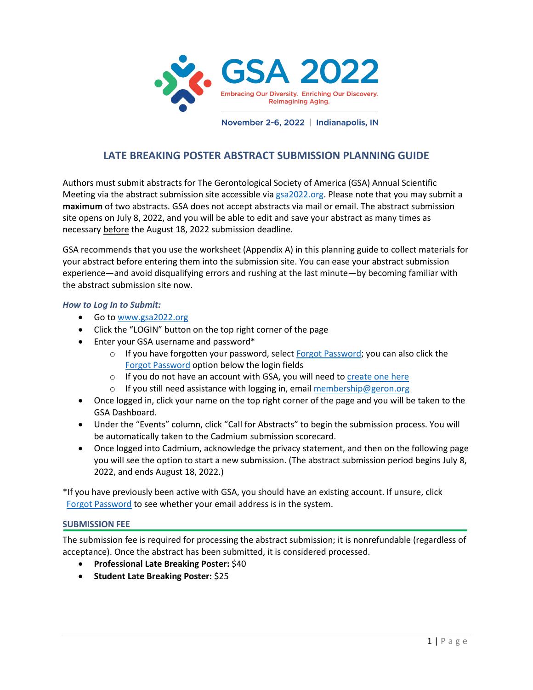

## **LATE BREAKING POSTER ABSTRACT SUBMISSION PLANNING GUIDE**

Authors must submit abstracts for The Gerontological Society of America (GSA) Annual Scientific Meeting via the abstract submission site accessible via [gsa2022.org.](http://www.gsa2022.org/) Please note that you may submit a **maximum** of two abstracts. GSA does not accept abstracts via mail or email. The abstract submission site opens on July 8, 2022, and you will be able to edit and save your abstract as many times as necessary before the August 18, 2022 submission deadline.

GSA recommends that you use the worksheet (Appendix A) in this planning guide to collect materials for your abstract before entering them into the submission site. You can ease your abstract submission experience—and avoid disqualifying errors and rushing at the last minute—by becoming familiar with the abstract submission site now.

## *How to Log In to Submit:*

- Go to [www.gsa2022.org](http://www.gsa2022.org/)
- Click the "LOGIN" button on the top right corner of the page
- Enter your GSA username and password\*
	- $\circ$  If you have forgotten your password, selec[t Forgot Password;](https://www.gsa2022.org/Forgot-Password) you can also click the [Forgot Password](https://www.gsa2022.org/Forgot-Password) option below the login fields
	- o If you do not have an account with GSA, you will need to [create one here](https://www.gsa2022.org/Create-Account?returnurl=%2fForgot-Password)
	- o If you still need assistance with logging in, email [membership@geron.org](mailto:membership@geron.org)
- Once logged in, click your name on the top right corner of the page and you will be taken to the GSA Dashboard.
- Under the "Events" column, click "Call for Abstracts" to begin the submission process. You will be automatically taken to the Cadmium submission scorecard.
- Once logged into Cadmium, acknowledge the privacy statement, and then on the following page you will see the option to start a new submission. (The abstract submission period begins July 8, 2022, and ends August 18, 2022.)

\*If you have previously been active with GSA, you should have an existing account. If unsure, click [Forgot Password](https://www.gsa2022.org/Forgot-Password) to see whether your email address is in the system.

## **SUBMISSION FEE**

The submission fee is required for processing the abstract submission; it is nonrefundable (regardless of acceptance). Once the abstract has been submitted, it is considered processed.

- **Professional Late Breaking Poster:** \$40
- **Student Late Breaking Poster:** \$25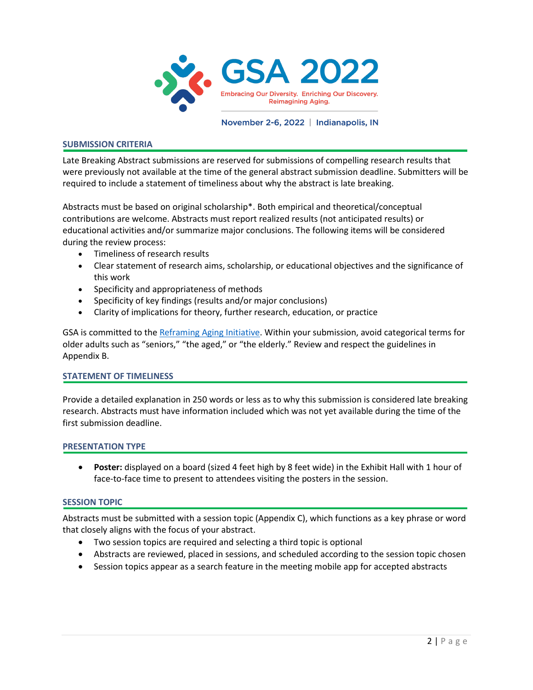

### **SUBMISSION CRITERIA**

Late Breaking Abstract submissions are reserved for submissions of compelling research results that were previously not available at the time of the general abstract submission deadline. Submitters will be required to include a statement of timeliness about why the abstract is late breaking.

Abstracts must be based on original scholarship\*. Both empirical and theoretical/conceptual contributions are welcome. Abstracts must report realized results (not anticipated results) or educational activities and/or summarize major conclusions. The following items will be considered during the review process:

- Timeliness of research results
- Clear statement of research aims, scholarship, or educational objectives and the significance of this work
- Specificity and appropriateness of methods
- Specificity of key findings (results and/or major conclusions)
- Clarity of implications for theory, further research, education, or practice

GSA is committed to the [Reframing Aging Initiative.](http://www.reframingaging.org/) Within your submission, avoid categorical terms for older adults such as "seniors," "the aged," or "the elderly." Review and respect the guidelines in Appendix B.

## **STATEMENT OF TIMELINESS**

Provide a detailed explanation in 250 words or less as to why this submission is considered late breaking research. Abstracts must have information included which was not yet available during the time of the first submission deadline.

### **PRESENTATION TYPE**

• **Poster:** displayed on a board (sized 4 feet high by 8 feet wide) in the Exhibit Hall with 1 hour of face-to-face time to present to attendees visiting the posters in the session.

## **SESSION TOPIC**

Abstracts must be submitted with a session topic (Appendix C), which functions as a key phrase or word that closely aligns with the focus of your abstract.

- Two session topics are required and selecting a third topic is optional
- Abstracts are reviewed, placed in sessions, and scheduled according to the session topic chosen
- Session topics appear as a search feature in the meeting mobile app for accepted abstracts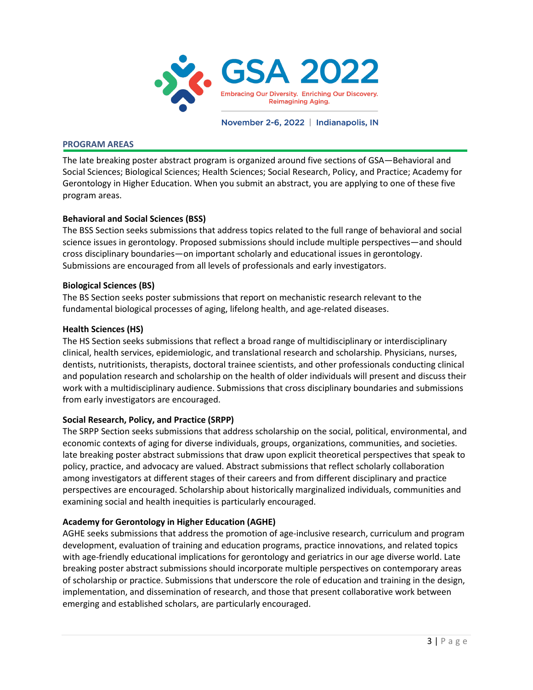

### **PROGRAM AREAS**

The late breaking poster abstract program is organized around five sections of GSA―Behavioral and Social Sciences; Biological Sciences; Health Sciences; Social Research, Policy, and Practice; Academy for Gerontology in Higher Education. When you submit an abstract, you are applying to one of these five program areas.

## **Behavioral and Social Sciences (BSS)**

The BSS Section seeks submissions that address topics related to the full range of behavioral and social science issues in gerontology. Proposed submissions should include multiple perspectives―and should cross disciplinary boundaries―on important scholarly and educational issues in gerontology. Submissions are encouraged from all levels of professionals and early investigators.

## **Biological Sciences (BS)**

The BS Section seeks poster submissions that report on mechanistic research relevant to the fundamental biological processes of aging, lifelong health, and age-related diseases.

## **Health Sciences (HS)**

The HS Section seeks submissions that reflect a broad range of multidisciplinary or interdisciplinary clinical, health services, epidemiologic, and translational research and scholarship. Physicians, nurses, dentists, nutritionists, therapists, doctoral trainee scientists, and other professionals conducting clinical and population research and scholarship on the health of older individuals will present and discuss their work with a multidisciplinary audience. Submissions that cross disciplinary boundaries and submissions from early investigators are encouraged.

## **Social Research, Policy, and Practice (SRPP)**

The SRPP Section seeks submissions that address scholarship on the social, political, environmental, and economic contexts of aging for diverse individuals, groups, organizations, communities, and societies. late breaking poster abstract submissions that draw upon explicit theoretical perspectives that speak to policy, practice, and advocacy are valued. Abstract submissions that reflect scholarly collaboration among investigators at different stages of their careers and from different disciplinary and practice perspectives are encouraged. Scholarship about historically marginalized individuals, communities and examining social and health inequities is particularly encouraged.

## **Academy for Gerontology in Higher Education (AGHE)**

AGHE seeks submissions that address the promotion of age-inclusive research, curriculum and program development, evaluation of training and education programs, practice innovations, and related topics with age-friendly educational implications for gerontology and geriatrics in our age diverse world. Late breaking poster abstract submissions should incorporate multiple perspectives on contemporary areas of scholarship or practice. Submissions that underscore the role of education and training in the design, implementation, and dissemination of research, and those that present collaborative work between emerging and established scholars, are particularly encouraged.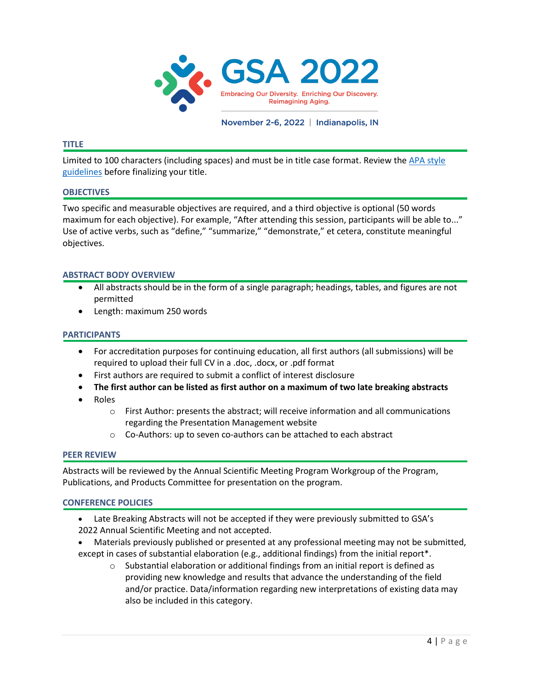

### **TITLE**

Limited to 100 characters (including spaces) and must be in title case format. Review the [APA style](https://apastyle.apa.org/style-grammar-guidelines/capitalization/title-case)  [guidelines](https://apastyle.apa.org/style-grammar-guidelines/capitalization/title-case) before finalizing your title.

### **OBJECTIVES**

Two specific and measurable objectives are required, and a third objective is optional (50 words maximum for each objective). For example, "After attending this session, participants will be able to..." Use of active verbs, such as "define," "summarize," "demonstrate," et cetera, constitute meaningful objectives.

### **ABSTRACT BODY OVERVIEW**

- All abstracts should be in the form of a single paragraph; headings, tables, and figures are not permitted
- Length: maximum 250 words

### **PARTICIPANTS**

- For accreditation purposes for continuing education, all first authors (all submissions) will be required to upload their full CV in a .doc, .docx, or .pdf format
- First authors are required to submit a conflict of interest disclosure
- **The first author can be listed as first author on a maximum of two late breaking abstracts**
- Roles
	- o First Author: presents the abstract; will receive information and all communications regarding the Presentation Management website
	- o Co-Authors: up to seven co-authors can be attached to each abstract

### **PEER REVIEW**

Abstracts will be reviewed by the Annual Scientific Meeting Program Workgroup of the Program, Publications, and Products Committee for presentation on the program.

### **CONFERENCE POLICIES**

- Late Breaking Abstracts will not be accepted if they were previously submitted to GSA's 2022 Annual Scientific Meeting and not accepted.
- Materials previously published or presented at any professional meeting may not be submitted, except in cases of substantial elaboration (e.g., additional findings) from the initial report\*.
	- o Substantial elaboration or additional findings from an initial report is defined as providing new knowledge and results that advance the understanding of the field and/or practice. Data/information regarding new interpretations of existing data may also be included in this category.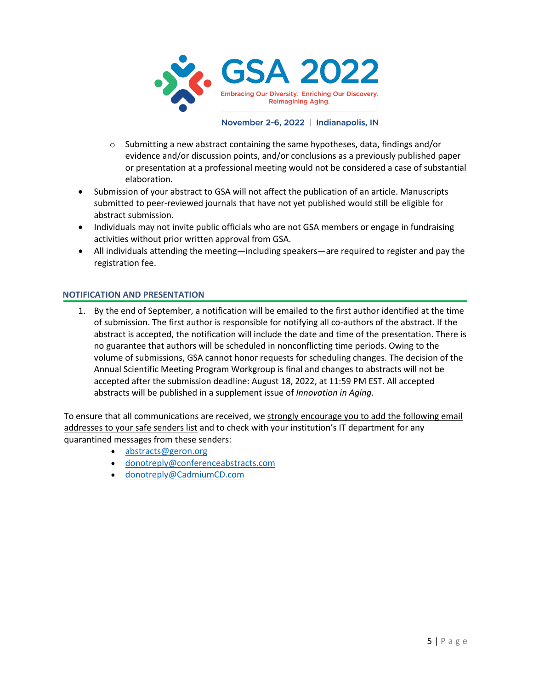

- $\circ$  Submitting a new abstract containing the same hypotheses, data, findings and/or evidence and/or discussion points, and/or conclusions as a previously published paper or presentation at a professional meeting would not be considered a case of substantial elaboration.
- Submission of your abstract to GSA will not affect the publication of an article. Manuscripts submitted to peer-reviewed journals that have not yet published would still be eligible for abstract submission.
- Individuals may not invite public officials who are not GSA members or engage in fundraising activities without prior written approval from GSA.
- All individuals attending the meeting—including speakers—are required to register and pay the registration fee.

## **NOTIFICATION AND PRESENTATION**

1. By the end of September, a notification will be emailed to the first author identified at the time of submission. The first author is responsible for notifying all co-authors of the abstract. If the abstract is accepted, the notification will include the date and time of the presentation. There is no guarantee that authors will be scheduled in nonconflicting time periods. Owing to the volume of submissions, GSA cannot honor requests for scheduling changes. The decision of the Annual Scientific Meeting Program Workgroup is final and changes to abstracts will not be accepted after the submission deadline: August 18, 2022, at 11:59 PM EST. All accepted abstracts will be published in a supplement issue of *Innovation in Aging.*

To ensure that all communications are received, we strongly encourage you to add the following email addresses to your safe senders list and to check with your institution's IT department for any quarantined messages from these senders:

- [abstracts@geron.org](mailto:abstracts@geron.org)
- [donotreply@conferenceabstracts.com](mailto:donotreply@conferenceabstracts.com)
- [donotreply@CadmiumCD.com](mailto:donotreply@CadmiumCD.com)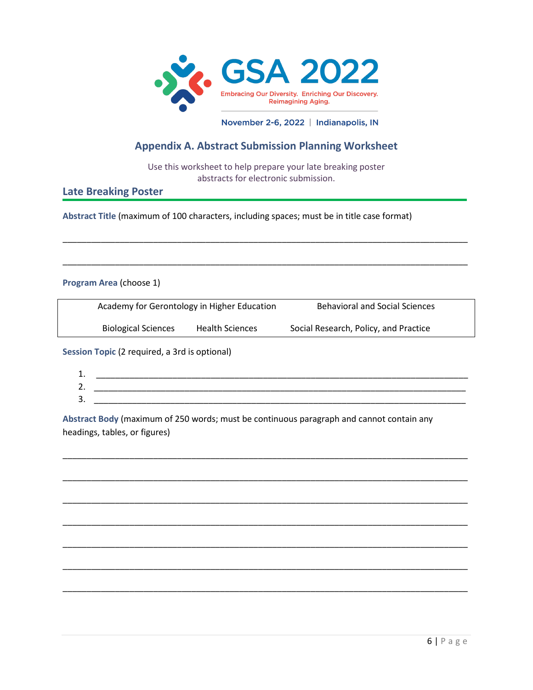

## **Appendix A. Abstract Submission Planning Worksheet**

Use this worksheet to help prepare your late breaking poster abstracts for electronic submission.

\_\_\_\_\_\_\_\_\_\_\_\_\_\_\_\_\_\_\_\_\_\_\_\_\_\_\_\_\_\_\_\_\_\_\_\_\_\_\_\_\_\_\_\_\_\_\_\_\_\_\_\_\_\_\_\_\_\_\_\_\_\_\_\_\_\_\_\_\_\_\_\_\_\_\_\_\_\_\_\_\_\_\_\_\_

\_\_\_\_\_\_\_\_\_\_\_\_\_\_\_\_\_\_\_\_\_\_\_\_\_\_\_\_\_\_\_\_\_\_\_\_\_\_\_\_\_\_\_\_\_\_\_\_\_\_\_\_\_\_\_\_\_\_\_\_\_\_\_\_\_\_\_\_\_\_\_\_\_\_\_\_\_\_\_\_\_\_\_\_\_

## **Late Breaking Poster**

**Abstract Title** (maximum of 100 characters, including spaces; must be in title case format)

## **Program Area** (choose 1)

| Academy for Gerontology in Higher Education |                        | <b>Behavioral and Social Sciences</b> |  |
|---------------------------------------------|------------------------|---------------------------------------|--|
| <b>Biological Sciences</b>                  | <b>Health Sciences</b> | Social Research, Policy, and Practice |  |

**Session Topic** (2 required, a 3rd is optional)

| n<br>ᆠ.  |  |
|----------|--|
| າ<br>ـ ـ |  |
| 2<br>J.  |  |
|          |  |

\_\_\_\_\_\_\_\_\_\_\_\_\_\_\_\_\_\_\_\_\_\_\_\_\_\_\_\_\_\_\_\_\_\_\_\_\_\_\_\_\_\_\_\_\_\_\_\_\_\_\_\_\_\_\_\_\_\_\_\_\_\_\_\_\_\_\_\_\_\_\_\_\_\_\_\_\_\_\_\_\_\_\_\_\_

\_\_\_\_\_\_\_\_\_\_\_\_\_\_\_\_\_\_\_\_\_\_\_\_\_\_\_\_\_\_\_\_\_\_\_\_\_\_\_\_\_\_\_\_\_\_\_\_\_\_\_\_\_\_\_\_\_\_\_\_\_\_\_\_\_\_\_\_\_\_\_\_\_\_\_\_\_\_\_\_\_\_\_\_\_

\_\_\_\_\_\_\_\_\_\_\_\_\_\_\_\_\_\_\_\_\_\_\_\_\_\_\_\_\_\_\_\_\_\_\_\_\_\_\_\_\_\_\_\_\_\_\_\_\_\_\_\_\_\_\_\_\_\_\_\_\_\_\_\_\_\_\_\_\_\_\_\_\_\_\_\_\_\_\_\_\_\_\_\_\_

\_\_\_\_\_\_\_\_\_\_\_\_\_\_\_\_\_\_\_\_\_\_\_\_\_\_\_\_\_\_\_\_\_\_\_\_\_\_\_\_\_\_\_\_\_\_\_\_\_\_\_\_\_\_\_\_\_\_\_\_\_\_\_\_\_\_\_\_\_\_\_\_\_\_\_\_\_\_\_\_\_\_\_\_\_

\_\_\_\_\_\_\_\_\_\_\_\_\_\_\_\_\_\_\_\_\_\_\_\_\_\_\_\_\_\_\_\_\_\_\_\_\_\_\_\_\_\_\_\_\_\_\_\_\_\_\_\_\_\_\_\_\_\_\_\_\_\_\_\_\_\_\_\_\_\_\_\_\_\_\_\_\_\_\_\_\_\_\_\_\_

\_\_\_\_\_\_\_\_\_\_\_\_\_\_\_\_\_\_\_\_\_\_\_\_\_\_\_\_\_\_\_\_\_\_\_\_\_\_\_\_\_\_\_\_\_\_\_\_\_\_\_\_\_\_\_\_\_\_\_\_\_\_\_\_\_\_\_\_\_\_\_\_\_\_\_\_\_\_\_\_\_\_\_\_\_

\_\_\_\_\_\_\_\_\_\_\_\_\_\_\_\_\_\_\_\_\_\_\_\_\_\_\_\_\_\_\_\_\_\_\_\_\_\_\_\_\_\_\_\_\_\_\_\_\_\_\_\_\_\_\_\_\_\_\_\_\_\_\_\_\_\_\_\_\_\_\_\_\_\_\_\_\_\_\_\_\_\_\_\_\_

**Abstract Body** (maximum of 250 words; must be continuous paragraph and cannot contain any headings, tables, or figures)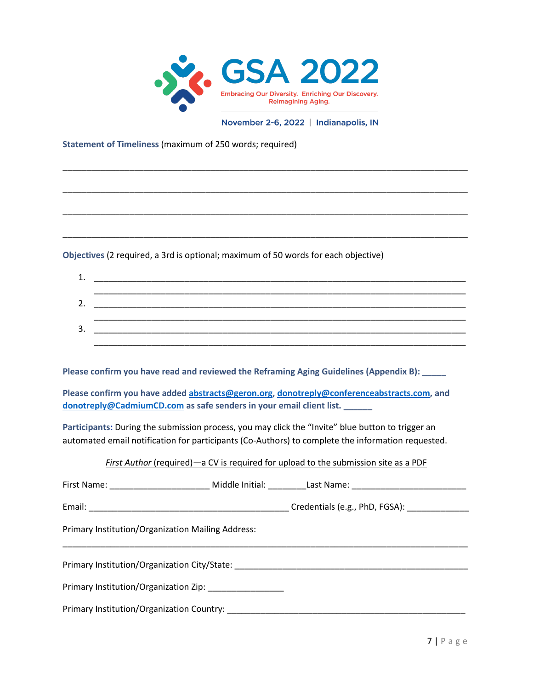

\_\_\_\_\_\_\_\_\_\_\_\_\_\_\_\_\_\_\_\_\_\_\_\_\_\_\_\_\_\_\_\_\_\_\_\_\_\_\_\_\_\_\_\_\_\_\_\_\_\_\_\_\_\_\_\_\_\_\_\_\_\_\_\_\_\_\_\_\_\_\_\_\_\_\_\_\_\_\_\_\_\_\_\_\_

\_\_\_\_\_\_\_\_\_\_\_\_\_\_\_\_\_\_\_\_\_\_\_\_\_\_\_\_\_\_\_\_\_\_\_\_\_\_\_\_\_\_\_\_\_\_\_\_\_\_\_\_\_\_\_\_\_\_\_\_\_\_\_\_\_\_\_\_\_\_\_\_\_\_\_\_\_\_\_\_\_\_\_\_\_

\_\_\_\_\_\_\_\_\_\_\_\_\_\_\_\_\_\_\_\_\_\_\_\_\_\_\_\_\_\_\_\_\_\_\_\_\_\_\_\_\_\_\_\_\_\_\_\_\_\_\_\_\_\_\_\_\_\_\_\_\_\_\_\_\_\_\_\_\_\_\_\_\_\_\_\_\_\_\_\_\_\_\_\_\_

\_\_\_\_\_\_\_\_\_\_\_\_\_\_\_\_\_\_\_\_\_\_\_\_\_\_\_\_\_\_\_\_\_\_\_\_\_\_\_\_\_\_\_\_\_\_\_\_\_\_\_\_\_\_\_\_\_\_\_\_\_\_\_\_\_\_\_\_\_\_\_\_\_\_\_\_\_\_\_\_\_\_\_\_\_

November 2-6, 2022 | Indianapolis, IN

**Statement of Timeliness** (maximum of 250 words; required)

**Objectives** (2 required, a 3rd is optional; maximum of 50 words for each objective)

**Please confirm you have read and reviewed the Reframing Aging Guidelines (Appendix B): \_\_\_\_\_**

**Please confirm you have added [abstracts@geron.org,](mailto:abstracts@geron.org) [donotreply@conferenceabstracts.com,](mailto:donotreply@conferenceabstracts.com) and [donotreply@CadmiumCD.com](mailto:donotreply@CadmiumCD.com) as safe senders in your email client list. \_\_\_\_\_\_** 

**Participants:** During the submission process, you may click the "Invite" blue button to trigger an automated email notification for participants (Co-Authors) to complete the information requested.

## *First Author* (required)—a CV is required for upload to the submission site as a PDF

| Primary Institution/Organization Mailing Address:                                |  |
|----------------------------------------------------------------------------------|--|
| Primary Institution/Organization City/State: ___________________________________ |  |
|                                                                                  |  |
|                                                                                  |  |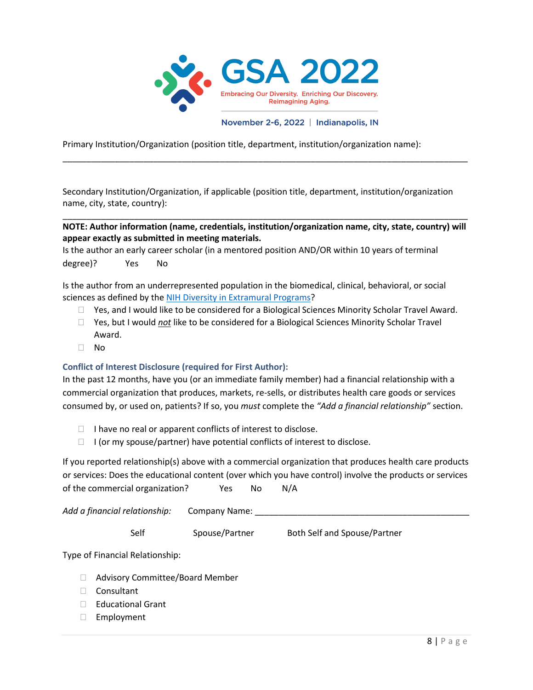

Primary Institution/Organization (position title, department, institution/organization name):

Secondary Institution/Organization, if applicable (position title, department, institution/organization name, city, state, country):

\_\_\_\_\_\_\_\_\_\_\_\_\_\_\_\_\_\_\_\_\_\_\_\_\_\_\_\_\_\_\_\_\_\_\_\_\_\_\_\_\_\_\_\_\_\_\_\_\_\_\_\_\_\_\_\_\_\_\_\_\_\_\_\_\_\_\_\_\_\_\_\_\_\_\_\_\_\_\_\_\_\_\_\_\_

## \_\_\_\_\_\_\_\_\_\_\_\_\_\_\_\_\_\_\_\_\_\_\_\_\_\_\_\_\_\_\_\_\_\_\_\_\_\_\_\_\_\_\_\_\_\_\_\_\_\_\_\_\_\_\_\_\_\_\_\_\_\_\_\_\_\_\_\_\_\_\_\_\_\_\_\_\_\_\_\_\_\_\_\_\_ **NOTE: Author information (name, credentials, institution/organization name, city, state, country) will appear exactly as submitted in meeting materials.**

Is the author an early career scholar (in a mentored position AND/OR within 10 years of terminal degree)? Yes No

Is the author from an underrepresented population in the biomedical, clinical, behavioral, or social sciences as defined by the [NIH Diversity in Extramural Programs?](https://extramural-diversity.nih.gov/diversity-matters)

- $\Box$  Yes, and I would like to be considered for a Biological Sciences Minority Scholar Travel Award.
- Yes, but I would *not* like to be considered for a Biological Sciences Minority Scholar Travel Award.
- $\Box$  No

## **Conflict of Interest Disclosure (required for First Author):**

In the past 12 months, have you (or an immediate family member) had a financial relationship with a commercial organization that produces, markets, re-sells, or distributes health care goods or services consumed by, or used on, patients? If so, you *must* complete the *"Add a financial relationship"* section.

- $\Box$  I have no real or apparent conflicts of interest to disclose.
- $\Box$  I (or my spouse/partner) have potential conflicts of interest to disclose.

If you reported relationship(s) above with a commercial organization that produces health care products or services: Does the educational content (over which you have control) involve the products or services of the commercial organization? Yes No N/A

Add a financial relationship: Company Name:

Self Spouse/Partner Both Self and Spouse/Partner

Type of Financial Relationship:

- □ Advisory Committee/Board Member
- □ Consultant
- □ Educational Grant
- Employment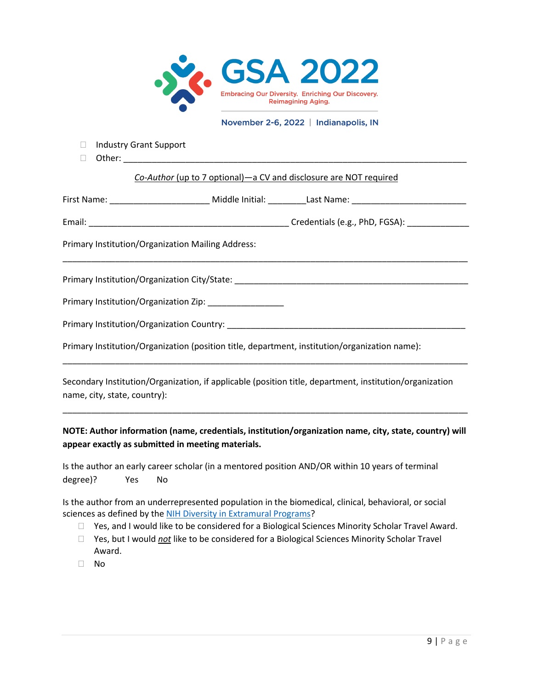

- □ Industry Grant Support
- $\Box$  Other: \_

### *Co-Author* (up to 7 optional)—a CV and disclosure are NOT required

|                                                                                               | First Name: _______________________________ Middle Initial: __________Last Name: _____________________________ |
|-----------------------------------------------------------------------------------------------|----------------------------------------------------------------------------------------------------------------|
|                                                                                               |                                                                                                                |
| Primary Institution/Organization Mailing Address:                                             |                                                                                                                |
|                                                                                               | Primary Institution/Organization City/State: ___________________________________                               |
| Primary Institution/Organization Zip: ____________________                                    |                                                                                                                |
|                                                                                               |                                                                                                                |
| Primary Institution/Organization (position title, department, institution/organization name): |                                                                                                                |
|                                                                                               |                                                                                                                |

Secondary Institution/Organization, if applicable (position title, department, institution/organization name, city, state, country):

**NOTE: Author information (name, credentials, institution/organization name, city, state, country) will appear exactly as submitted in meeting materials.** 

\_\_\_\_\_\_\_\_\_\_\_\_\_\_\_\_\_\_\_\_\_\_\_\_\_\_\_\_\_\_\_\_\_\_\_\_\_\_\_\_\_\_\_\_\_\_\_\_\_\_\_\_\_\_\_\_\_\_\_\_\_\_\_\_\_\_\_\_\_\_\_\_\_\_\_\_\_\_\_\_\_\_\_\_\_

Is the author an early career scholar (in a mentored position AND/OR within 10 years of terminal degree)? Yes No

Is the author from an underrepresented population in the biomedical, clinical, behavioral, or social sciences as defined by the [NIH Diversity in Extramural Programs?](https://extramural-diversity.nih.gov/diversity-matters)

- □ Yes, and I would like to be considered for a Biological Sciences Minority Scholar Travel Award.
- Yes, but I would *not* like to be considered for a Biological Sciences Minority Scholar Travel Award.
- No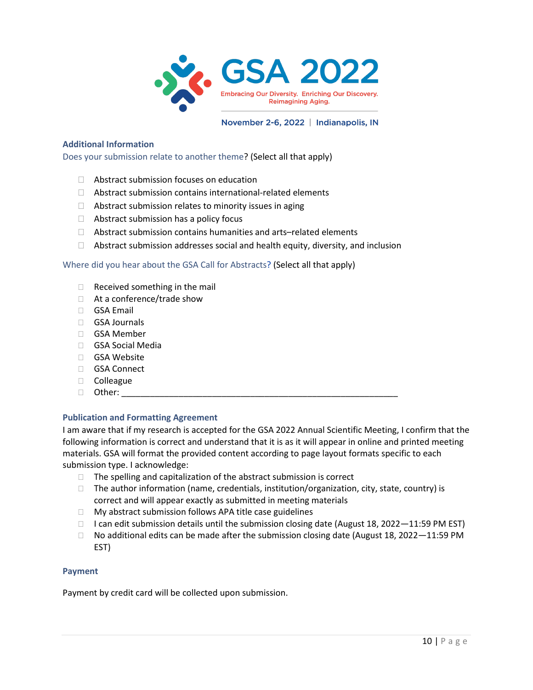

### **Additional Information**

Does your submission relate to another theme? (Select all that apply)

- $\Box$  Abstract submission focuses on education
- $\Box$  Abstract submission contains international-related elements
- $\Box$  Abstract submission relates to minority issues in aging
- $\Box$  Abstract submission has a policy focus
- $\Box$  Abstract submission contains humanities and arts–related elements
- $\Box$  Abstract submission addresses social and health equity, diversity, and inclusion

### Where did you hear about the GSA Call for Abstracts? (Select all that apply)

- $\Box$  Received something in the mail
- □ At a conference/trade show
- GSA Email
- GSA Journals
- □ GSA Member
- GSA Social Media
- □ GSA Website
- GSA Connect
- Colleague
- $\Box$  Other:

## **Publication and Formatting Agreement**

I am aware that if my research is accepted for the GSA 2022 Annual Scientific Meeting, I confirm that the following information is correct and understand that it is as it will appear in online and printed meeting materials. GSA will format the provided content according to page layout formats specific to each submission type. I acknowledge:

- $\Box$  The spelling and capitalization of the abstract submission is correct
- $\Box$  The author information (name, credentials, institution/organization, city, state, country) is correct and will appear exactly as submitted in meeting materials
- $\Box$  My abstract submission follows APA title case guidelines
- $\Box$  I can edit submission details until the submission closing date (August 18, 2022-11:59 PM EST)
- $\Box$  No additional edits can be made after the submission closing date (August 18, 2022–11:59 PM EST)

### **Payment**

Payment by credit card will be collected upon submission.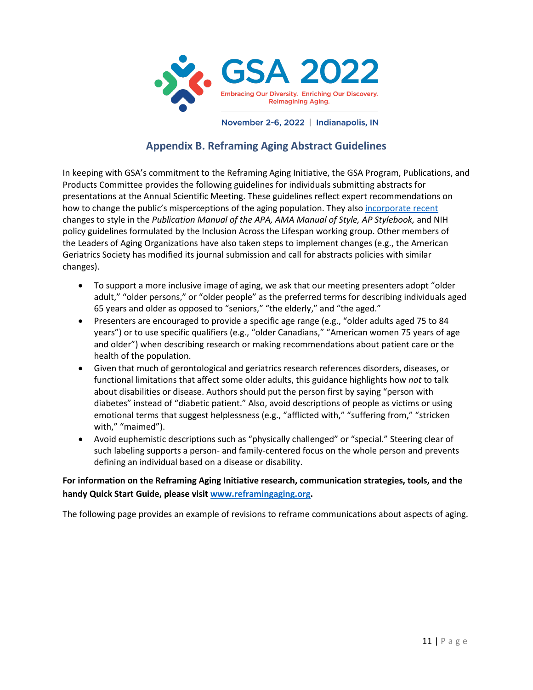

# **Appendix B. Reframing Aging Abstract Guidelines**

In keeping with GSA's commitment to the Reframing Aging Initiative, the GSA Program, Publications, and Products Committee provides the following guidelines for individuals submitting abstracts for presentations at the Annual Scientific Meeting. These guidelines reflect expert recommendations on how to change the public's misperceptions of the aging population. They als[o incorporate recent](https://www.reframingaging.org/News-Events/View/ArticleId/10027/Aging-in-Style-AMA-APA-and-AP-Guides-Adopt-Bias-Free-Language) changes to style in the *Publication Manual of the APA, AMA Manual of Style, AP Stylebook,* and NIH policy guidelines formulated by the Inclusion Across the Lifespan working group. Other members of the Leaders of Aging Organizations have also taken steps to implement changes (e.g., the American Geriatrics Society has modified its journal submission and call for abstracts policies with similar changes).

- To support a more inclusive image of aging, we ask that our meeting presenters adopt "older adult," "older persons," or "older people" as the preferred terms for describing individuals aged 65 years and older as opposed to "seniors," "the elderly," and "the aged."
- Presenters are encouraged to provide a specific age range (e.g., "older adults aged 75 to 84 years") or to use specific qualifiers (e.g., "older Canadians," "American women 75 years of age and older") when describing research or making recommendations about patient care or the health of the population.
- Given that much of gerontological and geriatrics research references disorders, diseases, or functional limitations that affect some older adults, this guidance highlights how *not* to talk about disabilities or disease. Authors should put the person first by saying "person with diabetes" instead of "diabetic patient." Also, avoid descriptions of people as victims or using emotional terms that suggest helplessness (e.g., "afflicted with," "suffering from," "stricken with," "maimed").
- Avoid euphemistic descriptions such as "physically challenged" or "special." Steering clear of such labeling supports a person- and family-centered focus on the whole person and prevents defining an individual based on a disease or disability.

**For information on the Reframing Aging Initiative research, communication strategies, tools, and the handy Quick Start Guide, please visi[t www.reframingaging.org.](http://www.reframingaging.org/)** 

The following page provides an example of revisions to reframe communications about aspects of aging.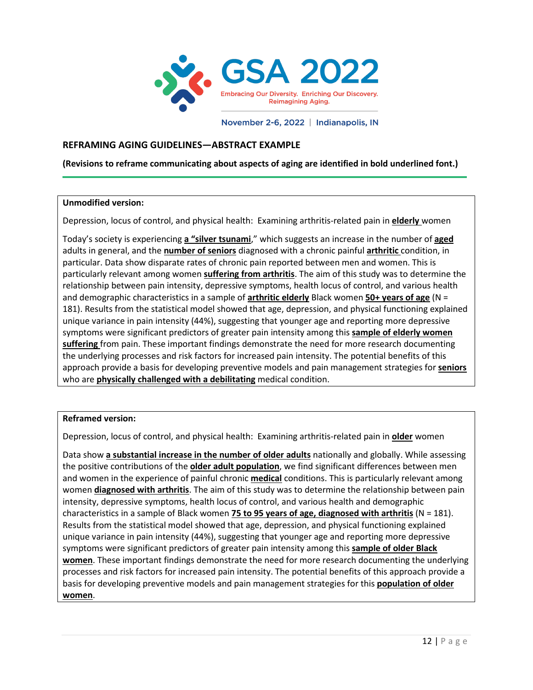

## **REFRAMING AGING GUIDELINES—ABSTRACT EXAMPLE**

**(Revisions to reframe communicating about aspects of aging are identified in bold underlined font.)**

### **Unmodified version:**

Ī

Depression, locus of control, and physical health: Examining arthritis-related pain in **elderly** women

Today's society is experiencing **a "silver tsunami**," which suggests an increase in the number of **aged**  adults in general, and the **number of seniors** diagnosed with a chronic painful **arthritic** condition, in particular. Data show disparate rates of chronic pain reported between men and women. This is particularly relevant among women **suffering from arthritis**. The aim of this study was to determine the relationship between pain intensity, depressive symptoms, health locus of control, and various health and demographic characteristics in a sample of **arthritic elderly** Black women **50+ years of age** (N = 181). Results from the statistical model showed that age, depression, and physical functioning explained unique variance in pain intensity (44%), suggesting that younger age and reporting more depressive symptoms were significant predictors of greater pain intensity among this **sample of elderly women suffering** from pain. These important findings demonstrate the need for more research documenting the underlying processes and risk factors for increased pain intensity. The potential benefits of this approach provide a basis for developing preventive models and pain management strategies for **seniors**  who are **physically challenged with a debilitating** medical condition.

### **Reframed version:**

Depression, locus of control, and physical health: Examining arthritis-related pain in **older** women

Data show **a substantial increase in the number of older adults** nationally and globally. While assessing the positive contributions of the **older adult population**, we find significant differences between men and women in the experience of painful chronic **medical** conditions. This is particularly relevant among women **diagnosed with arthritis**. The aim of this study was to determine the relationship between pain intensity, depressive symptoms, health locus of control, and various health and demographic characteristics in a sample of Black women **75 to 95 years of age, diagnosed with arthritis** (N = 181). Results from the statistical model showed that age, depression, and physical functioning explained unique variance in pain intensity (44%), suggesting that younger age and reporting more depressive symptoms were significant predictors of greater pain intensity among this **sample of older Black women**. These important findings demonstrate the need for more research documenting the underlying processes and risk factors for increased pain intensity. The potential benefits of this approach provide a basis for developing preventive models and pain management strategies for this **population of older women**.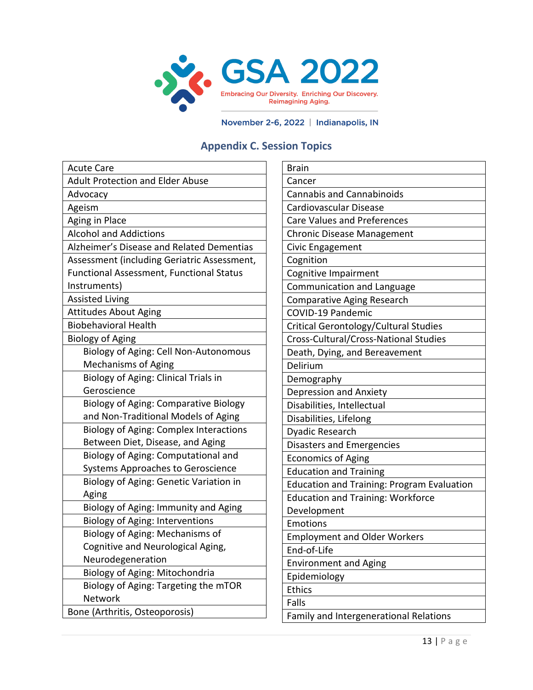

# **Appendix C. Session Topics**

| <b>Acute Care</b>                               |
|-------------------------------------------------|
| <b>Adult Protection and Elder Abuse</b>         |
| Advocacy                                        |
| Ageism                                          |
| Aging in Place                                  |
| <b>Alcohol and Addictions</b>                   |
| Alzheimer's Disease and Related Dementias       |
| Assessment (including Geriatric Assessment,     |
| <b>Functional Assessment, Functional Status</b> |
| Instruments)                                    |
| <b>Assisted Living</b>                          |
| <b>Attitudes About Aging</b>                    |
| <b>Biobehavioral Health</b>                     |
| <b>Biology of Aging</b>                         |
| Biology of Aging: Cell Non-Autonomous           |
| <b>Mechanisms of Aging</b>                      |
| Biology of Aging: Clinical Trials in            |
| Geroscience                                     |
| <b>Biology of Aging: Comparative Biology</b>    |
| and Non-Traditional Models of Aging             |
| <b>Biology of Aging: Complex Interactions</b>   |
| Between Diet, Disease, and Aging                |
| Biology of Aging: Computational and             |
| <b>Systems Approaches to Geroscience</b>        |
| Biology of Aging: Genetic Variation in          |
| Aging                                           |
| Biology of Aging: Immunity and Aging            |
| <b>Biology of Aging: Interventions</b>          |
| Biology of Aging: Mechanisms of                 |
| Cognitive and Neurological Aging,               |
| Neurodegeneration                               |
| Biology of Aging: Mitochondria                  |
| Biology of Aging: Targeting the mTOR            |
| Network                                         |
| Bone (Arthritis, Osteoporosis)                  |

| <b>Brain</b>                                      |
|---------------------------------------------------|
| Cancer                                            |
| <b>Cannabis and Cannabinoids</b>                  |
| Cardiovascular Disease                            |
| <b>Care Values and Preferences</b>                |
| <b>Chronic Disease Management</b>                 |
| Civic Engagement                                  |
| Cognition                                         |
| Cognitive Impairment                              |
| Communication and Language                        |
| <b>Comparative Aging Research</b>                 |
| <b>COVID-19 Pandemic</b>                          |
| Critical Gerontology/Cultural Studies             |
| Cross-Cultural/Cross-National Studies             |
| Death, Dying, and Bereavement                     |
| Delirium                                          |
| Demography                                        |
| Depression and Anxiety                            |
| Disabilities, Intellectual                        |
| Disabilities, Lifelong                            |
| Dyadic Research                                   |
| <b>Disasters and Emergencies</b>                  |
| <b>Economics of Aging</b>                         |
| <b>Education and Training</b>                     |
| <b>Education and Training: Program Evaluation</b> |
| <b>Education and Training: Workforce</b>          |
| Development                                       |
| Emotions                                          |
| <b>Employment and Older Workers</b>               |
| End-of-Life                                       |
| <b>Environment and Aging</b>                      |
| Epidemiology                                      |
| <b>Ethics</b>                                     |
| Falls                                             |
| Family and Intergenerational Relations            |